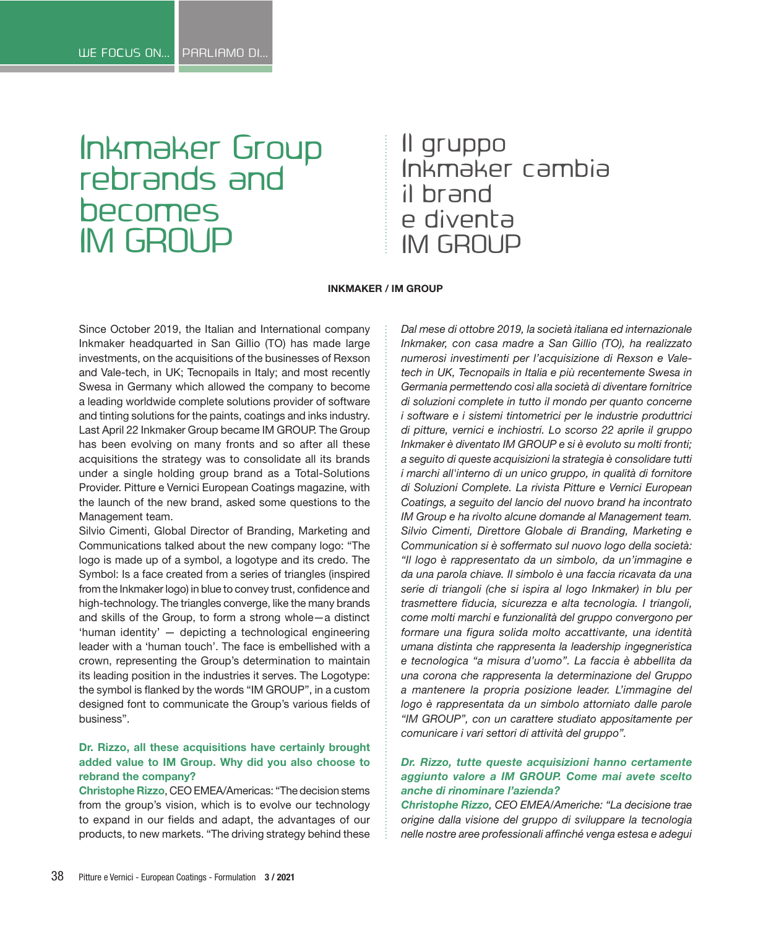# Inkmaker Group rebrands and becomes IM GROUP

## Il gruppo Inkmaker cambia il brand e diventa IM GROUP

#### **INKMAKER / IM GROUP**

Since October 2019, the Italian and International company Inkmaker headquarted in San Gillio (TO) has made large investments, on the acquisitions of the businesses of Rexson and Vale-tech, in UK; Tecnopails in Italy; and most recently Swesa in Germany which allowed the company to become a leading worldwide complete solutions provider of software and tinting solutions for the paints, coatings and inks industry. Last April 22 Inkmaker Group became IM GROUP. The Group has been evolving on many fronts and so after all these acquisitions the strategy was to consolidate all its brands under a single holding group brand as a Total-Solutions Provider. Pitture e Vernici European Coatings magazine, with the launch of the new brand, asked some questions to the Management team.

Silvio Cimenti, Global Director of Branding, Marketing and Communications talked about the new company logo: "The logo is made up of a symbol, a logotype and its credo. The Symbol: Is a face created from a series of triangles (inspired from the Inkmaker logo) in blue to convey trust, confidence and high-technology. The triangles converge, like the many brands and skills of the Group, to form a strong whole—a distinct 'human identity' — depicting a technological engineering leader with a 'human touch'. The face is embellished with a crown, representing the Group's determination to maintain its leading position in the industries it serves. The Logotype: the symbol is flanked by the words "IM GROUP", in a custom designed font to communicate the Group's various fields of business".

### **Dr. Rizzo, all these acquisitions have certainly brought added value to IM Group. Why did you also choose to rebrand the company?**

**Christophe Rizzo**, CEO EMEA/Americas: "The decision stems from the group's vision, which is to evolve our technology to expand in our fields and adapt, the advantages of our products, to new markets. "The driving strategy behind these

*Dal mese di ottobre 2019, la società italiana ed internazionale Inkmaker, con casa madre a San Gillio (TO), ha realizzato numerosi investimenti per l'acquisizione di Rexson e Valetech in UK, Tecnopails in Italia e più recentemente Swesa in Germania permettendo così alla società di diventare fornitrice di soluzioni complete in tutto il mondo per quanto concerne i software e i sistemi tintometrici per le industrie produttrici di pitture, vernici e inchiostri. Lo scorso 22 aprile il gruppo Inkmaker è diventato IM GROUP e si è evoluto su molti fronti; a seguito di queste acquisizioni la strategia è consolidare tutti i marchi all'interno di un unico gruppo, in qualità di fornitore di Soluzioni Complete. La rivista Pitture e Vernici European Coatings, a seguito del lancio del nuovo brand ha incontrato IM Group e ha rivolto alcune domande al Management team. Silvio Cimenti, Direttore Globale di Branding, Marketing e Communication si è soffermato sul nuovo logo della società: "Il logo è rappresentato da un simbolo, da un'immagine e da una parola chiave. Il simbolo è una faccia ricavata da una serie di triangoli (che si ispira al logo Inkmaker) in blu per trasmettere fiducia, sicurezza e alta tecnologia. I triangoli, come molti marchi e funzionalità del gruppo convergono per formare una figura solida molto accattivante, una identità umana distinta che rappresenta la leadership ingegneristica e tecnologica "a misura d'uomo". La faccia è abbellita da una corona che rappresenta la determinazione del Gruppo a mantenere la propria posizione leader. L'immagine del logo è rappresentata da un simbolo attorniato dalle parole "IM GROUP", con un carattere studiato appositamente per comunicare i vari settori di attività del gruppo".*

#### *Dr. Rizzo, tutte queste acquisizioni hanno certamente aggiunto valore a IM GROUP. Come mai avete scelto anche di rinominare l'azienda?*

*Christophe Rizzo, CEO EMEA/Americhe: "La decisione trae origine dalla visione del gruppo di sviluppare la tecnologia nelle nostre aree professionali affinché venga estesa e adegui*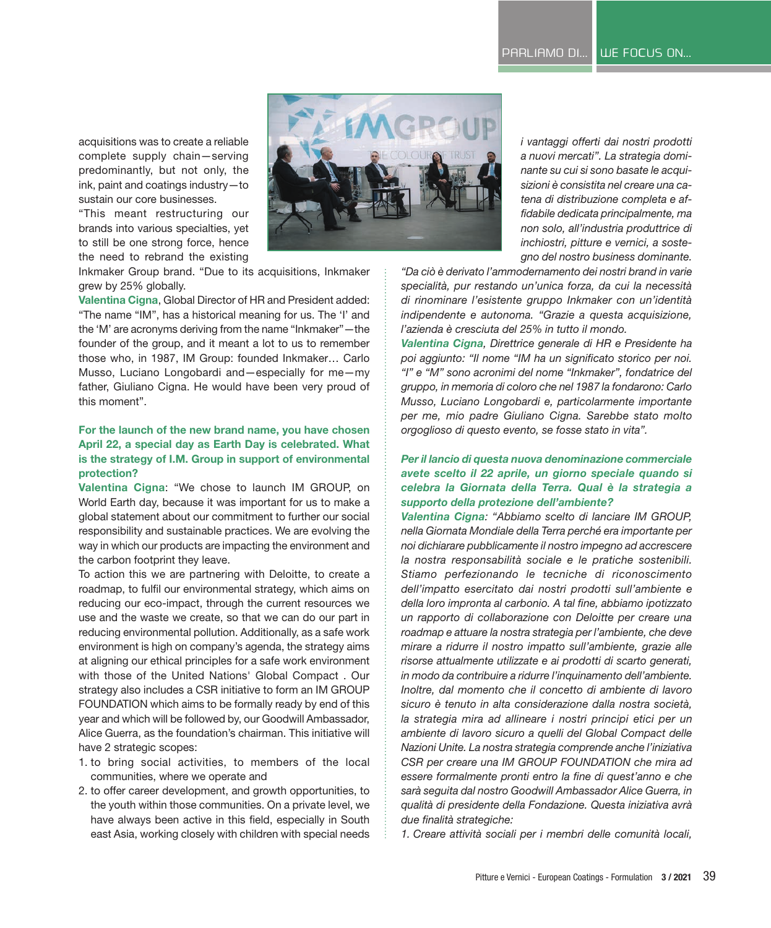acquisitions was to create a reliable complete supply chain—serving predominantly, but not only, the ink, paint and coatings industry—to sustain our core businesses.

"This meant restructuring our brands into various specialties, yet to still be one strong force, hence the need to rebrand the existing

Inkmaker Group brand. "Due to its acquisitions, Inkmaker grew by 25% globally.

**Valentina Cigna**, Global Director of HR and President added: "The name "IM", has a historical meaning for us. The 'I' and the 'M' are acronyms deriving from the name "Inkmaker"—the founder of the group, and it meant a lot to us to remember those who, in 1987, IM Group: founded Inkmaker… Carlo Musso, Luciano Longobardi and—especially for me—my father, Giuliano Cigna. He would have been very proud of this moment".

#### **For the launch of the new brand name, you have chosen April 22, a special day as Earth Day is celebrated. What is the strategy of I.M. Group in support of environmental protection?**

**Valentina Cigna**: "We chose to launch IM GROUP, on World Earth day, because it was important for us to make a global statement about our commitment to further our social responsibility and sustainable practices. We are evolving the way in which our products are impacting the environment and the carbon footprint they leave.

To action this we are partnering with Deloitte, to create a roadmap, to fulfil our environmental strategy, which aims on reducing our eco-impact, through the current resources we use and the waste we create, so that we can do our part in reducing environmental pollution. Additionally, as a safe work environment is high on company's agenda, the strategy aims at aligning our ethical principles for a safe work environment with those of the United Nations' Global Compact . Our strategy also includes a CSR initiative to form an IM GROUP FOUNDATION which aims to be formally ready by end of this year and which will be followed by, our Goodwill Ambassador, Alice Guerra, as the foundation's chairman. This initiative will have 2 strategic scopes:

- 1. to bring social activities, to members of the local communities, where we operate and
- 2. to offer career development, and growth opportunities, to the youth within those communities. On a private level, we have always been active in this field, especially in South east Asia, working closely with children with special needs

*i vantaggi offerti dai nostri prodotti a nuovi mercati". La strategia dominante su cui si sono basate le acquisizioni è consistita nel creare una catena di distribuzione completa e affidabile dedicata principalmente, ma non solo, all'industria produttrice di inchiostri, pitture e vernici, a sostegno del nostro business dominante.* 

*"Da ciò è derivato l'ammodernamento dei nostri brand in varie specialità, pur restando un'unica forza, da cui la necessità di rinominare l'esistente gruppo Inkmaker con un'identità indipendente e autonoma. "Grazie a questa acquisizione, l'azienda è cresciuta del 25% in tutto il mondo.*

*Valentina Cigna, Direttrice generale di HR e Presidente ha poi aggiunto: "Il nome "IM ha un significato storico per noi. "I" e "M" sono acronimi del nome "Inkmaker", fondatrice del gruppo, in memoria di coloro che nel 1987 la fondarono: Carlo Musso, Luciano Longobardi e, particolarmente importante per me, mio padre Giuliano Cigna. Sarebbe stato molto orgoglioso di questo evento, se fosse stato in vita".*

#### *Per il lancio di questa nuova denominazione commerciale avete scelto il 22 aprile, un giorno speciale quando si celebra la Giornata della Terra. Qual è la strategia a supporto della protezione dell'ambiente?*

*Valentina Cigna: "Abbiamo scelto di lanciare IM GROUP, nella Giornata Mondiale della Terra perché era importante per noi dichiarare pubblicamente il nostro impegno ad accrescere la nostra responsabilità sociale e le pratiche sostenibili. Stiamo perfezionando le tecniche di riconoscimento dell'impatto esercitato dai nostri prodotti sull'ambiente e della loro impronta al carbonio. A tal fine, abbiamo ipotizzato un rapporto di collaborazione con Deloitte per creare una roadmap e attuare la nostra strategia per l'ambiente, che deve mirare a ridurre il nostro impatto sull'ambiente, grazie alle risorse attualmente utilizzate e ai prodotti di scarto generati, in modo da contribuire a ridurre l'inquinamento dell'ambiente. Inoltre, dal momento che il concetto di ambiente di lavoro sicuro è tenuto in alta considerazione dalla nostra società, la strategia mira ad allineare i nostri principi etici per un ambiente di lavoro sicuro a quelli del Global Compact delle Nazioni Unite. La nostra strategia comprende anche l'iniziativa CSR per creare una IM GROUP FOUNDATION che mira ad essere formalmente pronti entro la fine di quest'anno e che sarà seguita dal nostro Goodwill Ambassador Alice Guerra, in qualità di presidente della Fondazione. Questa iniziativa avrà due finalità strategiche:*

*1. Creare attività sociali per i membri delle comunità locali,* 

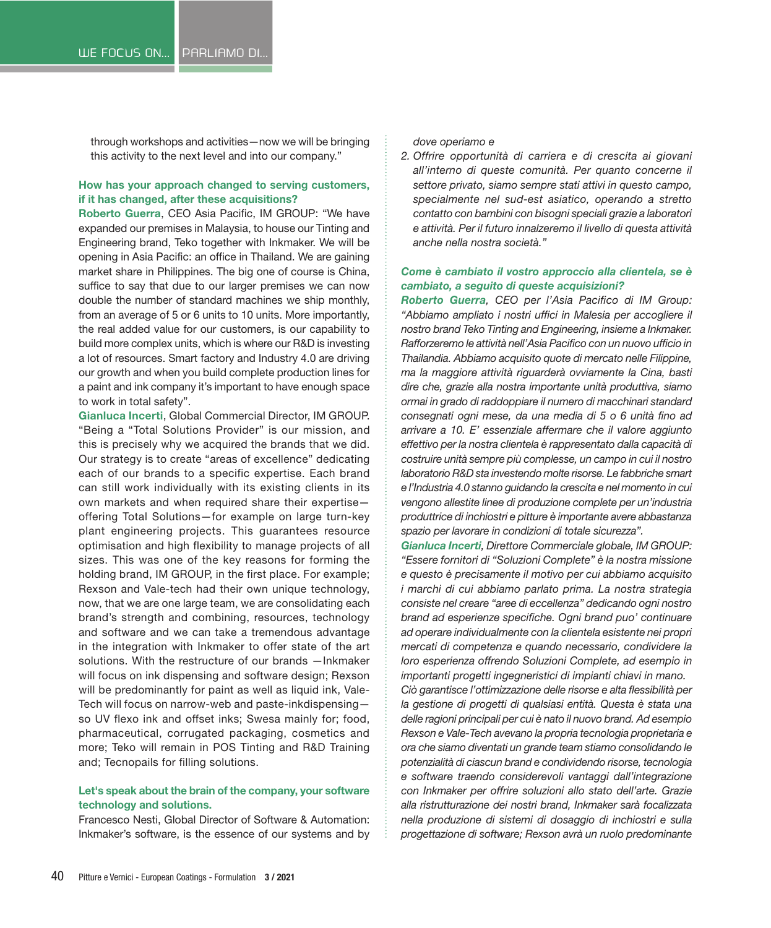through workshops and activities—now we will be bringing this activity to the next level and into our company."

#### **How has your approach changed to serving customers, if it has changed, after these acquisitions?**

**Roberto Guerra**, CEO Asia Pacific, IM GROUP: "We have expanded our premises in Malaysia, to house our Tinting and Engineering brand, Teko together with Inkmaker. We will be opening in Asia Pacific: an office in Thailand. We are gaining market share in Philippines. The big one of course is China, suffice to say that due to our larger premises we can now double the number of standard machines we ship monthly, from an average of 5 or 6 units to 10 units. More importantly, the real added value for our customers, is our capability to build more complex units, which is where our R&D is investing a lot of resources. Smart factory and Industry 4.0 are driving our growth and when you build complete production lines for a paint and ink company it's important to have enough space to work in total safety".

**Gianluca Incerti**, Global Commercial Director, IM GROUP. "Being a "Total Solutions Provider" is our mission, and this is precisely why we acquired the brands that we did. Our strategy is to create "areas of excellence" dedicating each of our brands to a specific expertise. Each brand can still work individually with its existing clients in its own markets and when required share their expertise offering Total Solutions—for example on large turn-key plant engineering projects. This guarantees resource optimisation and high flexibility to manage projects of all sizes. This was one of the key reasons for forming the holding brand, IM GROUP, in the first place. For example; Rexson and Vale-tech had their own unique technology, now, that we are one large team, we are consolidating each brand's strength and combining, resources, technology and software and we can take a tremendous advantage in the integration with Inkmaker to offer state of the art solutions. With the restructure of our brands —Inkmaker will focus on ink dispensing and software design; Rexson will be predominantly for paint as well as liquid ink, Vale-Tech will focus on narrow-web and paste-inkdispensing so UV flexo ink and offset inks; Swesa mainly for; food, pharmaceutical, corrugated packaging, cosmetics and more; Teko will remain in POS Tinting and R&D Training and; Tecnopails for filling solutions.

#### **Let's speak about the brain of the company, your software technology and solutions.**

Francesco Nesti, Global Director of Software & Automation: Inkmaker's software, is the essence of our systems and by *dove operiamo e*

*2. Offrire opportunità di carriera e di crescita ai giovani all'interno di queste comunità. Per quanto concerne il settore privato, siamo sempre stati attivi in questo campo, specialmente nel sud-est asiatico, operando a stretto contatto con bambini con bisogni speciali grazie a laboratori e attività. Per il futuro innalzeremo il livello di questa attività anche nella nostra società."*

#### *Come è cambiato il vostro approccio alla clientela, se è cambiato, a seguito di queste acquisizioni?*

*Roberto Guerra, CEO per l'Asia Pacifico di IM Group: "Abbiamo ampliato i nostri uffici in Malesia per accogliere il nostro brand Teko Tinting and Engineering, insieme a Inkmaker. Rafforzeremo le attività nell'Asia Pacifico con un nuovo ufficio in Thailandia. Abbiamo acquisito quote di mercato nelle Filippine, ma la maggiore attività riguarderà ovviamente la Cina, basti dire che, grazie alla nostra importante unità produttiva, siamo ormai in grado di raddoppiare il numero di macchinari standard consegnati ogni mese, da una media di 5 o 6 unità fino ad arrivare a 10. E' essenziale affermare che il valore aggiunto effettivo per la nostra clientela è rappresentato dalla capacità di costruire unità sempre più complesse, un campo in cui il nostro laboratorio R&D sta investendo molte risorse. Le fabbriche smart e l'Industria 4.0 stanno guidando la crescita e nel momento in cui vengono allestite linee di produzione complete per un'industria produttrice di inchiostri e pitture è importante avere abbastanza spazio per lavorare in condizioni di totale sicurezza".*

*Gianluca Incerti, Direttore Commerciale globale, IM GROUP: "Essere fornitori di "Soluzioni Complete" è la nostra missione e questo è precisamente il motivo per cui abbiamo acquisito i marchi di cui abbiamo parlato prima. La nostra strategia consiste nel creare "aree di eccellenza" dedicando ogni nostro brand ad esperienze specifiche. Ogni brand puo' continuare ad operare individualmente con la clientela esistente nei propri mercati di competenza e quando necessario, condividere la loro esperienza offrendo Soluzioni Complete, ad esempio in importanti progetti ingegneristici di impianti chiavi in mano.*

*Ciò garantisce l'ottimizzazione delle risorse e alta flessibilità per la gestione di progetti di qualsiasi entità. Questa è stata una delle ragioni principali per cui è nato il nuovo brand. Ad esempio Rexson e Vale-Tech avevano la propria tecnologia proprietaria e ora che siamo diventati un grande team stiamo consolidando le potenzialità di ciascun brand e condividendo risorse, tecnologia e software traendo considerevoli vantaggi dall'integrazione con Inkmaker per offrire soluzioni allo stato dell'arte. Grazie alla ristrutturazione dei nostri brand, Inkmaker sarà focalizzata nella produzione di sistemi di dosaggio di inchiostri e sulla progettazione di software; Rexson avrà un ruolo predominante*